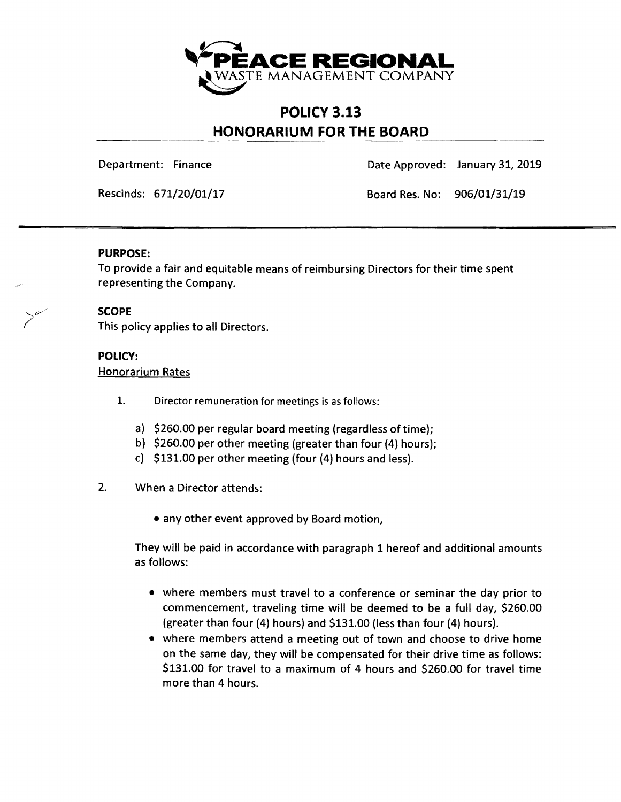

# **POLICY 3.13 HONORARIUM FOR THE BOARD**

Department: Finance Date Approved: January 31,2019

Rescinds: 671/20/01/17 Board Res. No: 906/01/31/19

### **PURPOSE:**

To provide a fair and equitable means of reimbursing Directors for their time spent representing the Company.

# **SCOPE**

;//

This policy applies to all Directors.

# **POLICY:**

Honorarium Rates

- 1. Director remuneration for meetings is as follows:
	- a) \$260.00 per regular board meeting (regardless of time);
	- b) \$260.00 per other meeting (greater than four (4) hours);
	- c) \$131.00 per other meeting (four (4) hours and less).

### 2. When a Director attends:

• any other event approved by Board motion,

They will be paid in accordance with paragraph 1 hereof and additional amounts as follows:

- where members must travel to a conference or seminar the day prior to commencement, traveling time will be deemed to be a full day, \$260.00 (greater than four (4) hours) and \$131.00 (less than four (4) hours).
- where members attend a meeting out of town and choose to drive home on the same day, they will be compensated for their drive time as follows: \$131.00 for travel to a maximum of 4 hours and \$260.00 for travel time more than 4 hours.